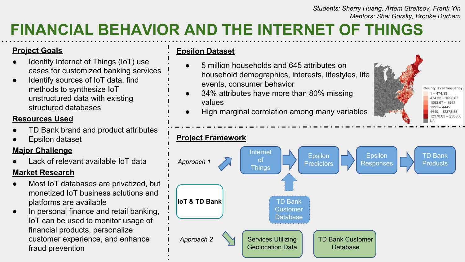#### *Students: Sherry Huang, Artem Streltsov, Frank Yin Mentors: Shai Gorsky, Brooke Durham*

County level frequency  $1 - 474.33$  $47433 - 109367$ 1093.67 - 1992  $1992 - 4449$ 4449 - 12378.83 12378.83 - 230566

# **FINANCIAL BEHAVIOR AND THE INTERNET OF THINGS**

#### **Project Goals**

- Identify Internet of Things (IoT) use cases for customized banking services
- Identify sources of IoT data, find methods to synthesize IoT unstructured data with existing structured databases

#### **Resources Used**

- TD Bank brand and product attributes
- Epsilon dataset

### **Major Challenge**

Lack of relevant available IoT data

#### **Market Research**

- Most IoT databases are privatized, but monetized IoT business solutions and platforms are available
- In personal finance and retail banking, IoT can be used to monitor usage of financial products, personalize customer experience, and enhance fraud prevention

#### **Epsilon Dataset**

- 5 million households and 645 attributes on household demographics, interests, lifestyles, life events, consumer behavior
- 34% attributes have more than 80% missing values
- High marginal correlation among many variables